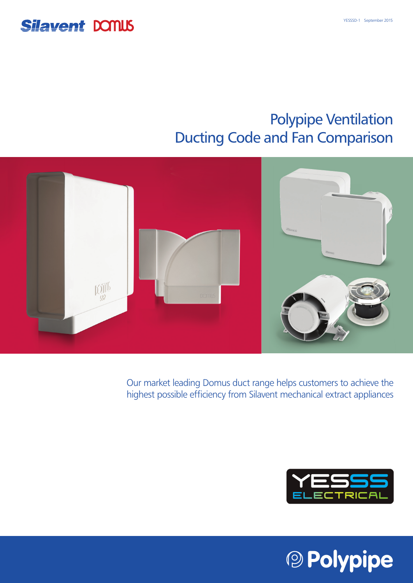## **Silavent DONUS**

## Polypipe Ventilation Ducting Code and Fan Comparison



Our market leading Domus duct range helps customers to achieve the highest possible efficiency from Silavent mechanical extract appliances



<sup>®</sup> Polypipe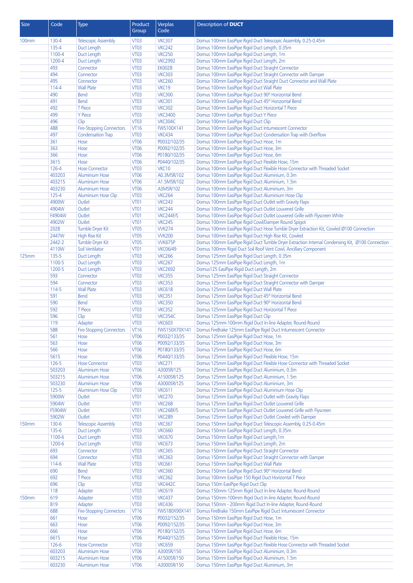| Size         | Code             | Type                                           | Product                         | Verplas                         | Description of <b>DUCT</b>                                                                                  |
|--------------|------------------|------------------------------------------------|---------------------------------|---------------------------------|-------------------------------------------------------------------------------------------------------------|
|              |                  |                                                | Group                           | Code                            |                                                                                                             |
| <b>100mm</b> | $130 - 4$        | <b>Telescopic Assembly</b>                     | VT <sub>03</sub>                | <b>VKC307</b>                   | Domus 100mm EasiPipe Rigid Duct Telescopic Assembly, 0.25-0.45m                                             |
|              | 135-4            | Duct Length                                    | <b>VT03</b>                     | <b>VKC242</b>                   | Domus 100mm EasiPipe Rigid Duct Length, 0.35m                                                               |
|              | 1100-4           | Duct Length                                    | <b>VT03</b>                     | <b>VKC250</b>                   | Domus 100mm EasiPipe Rigid Duct Length, 1m                                                                  |
|              | 1200-4           | Duct Length                                    | <b>VT03</b>                     | <b>VKC2992</b>                  | Domus 100mm EasiPipe Rigid Duct Length, 2m                                                                  |
|              | 493              | Connector                                      | <b>VT03</b>                     | <b>EK0028</b>                   | Domus 100mm EasiPipe Rigid Duct Straight Connector                                                          |
|              | 494              | Connector                                      | <b>VT03</b>                     | <b>VKC303</b>                   | Domus 100mm EasiPipe Rigid Duct Straight Connector with Damper                                              |
|              | 495              | Connector                                      | <b>VT03</b>                     | <b>VKC260</b>                   | Domus 100mm EasiPipe Rigid Duct Straight Duct Connector and Wall Plate                                      |
|              | $114 - 4$        | <b>Wall Plate</b>                              | <b>VT03</b>                     | VKC19                           | Domus 100mm EasiPipe Rigid Duct Wall Plate                                                                  |
|              | 490<br>491       | Bend                                           | VT <sub>03</sub><br><b>VT03</b> | <b>VKC300</b><br><b>VKC301</b>  | Domus 100mm EasiPipe Rigid Duct 90° Horizontal Bend<br>Domus 100mm EasiPipe Rigid Duct 45° Horizontal Bend  |
|              | 492              | <b>Bend</b><br>T Piece                         | <b>VT03</b>                     | <b>VKC302</b>                   | Domus 100mm EasiPipe Rigid Duct Horizontal T Piece                                                          |
|              | 499              | <b>Y</b> Piece                                 | <b>VT03</b>                     | <b>VKC3400</b>                  | Domus 100mm EasiPipe Rigid Duct Y Piece                                                                     |
|              | 496              | Clip                                           | <b>VT03</b>                     | VKC304C                         | Domus 100mm EasiPipe Rigid Duct Clip                                                                        |
|              | 488              | <b>Fire-Stopping Connectors</b>                | <b>VT16</b>                     | FWS100X141                      | Domus 100mm EasiPipe Rigid Duct Intumescent Connector                                                       |
|              | 497              | <b>Condensation Trap</b>                       | <b>VT03</b>                     | <b>VKC434</b>                   | Domus 100mm EasiPipe Rigid Duct Condensation Trap with Overflow                                             |
|              | 361              | Hose                                           | <b>VT06</b>                     | P0032/102/35                    | Domus 100mm EasiPipe Rigid Duct Hose, 1m                                                                    |
|              | 363              | Hose                                           | <b>VT06</b>                     | P0092/102/35                    | Domus 100mm EasiPipe Rigid Duct Hose, 3m                                                                    |
|              | 366              | Hose                                           | <b>VT06</b>                     | P0180/102/35                    | Domus 100mm EasiPipe Rigid Duct Hose, 6m                                                                    |
|              | 3615             | Hose                                           | <b>VT06</b>                     | P0440/102/35                    | Domus 100mm EasiPipe Rigid Duct Flexible Hose, 15m                                                          |
|              | 126-4            | <b>Hose Connector</b>                          | <b>VT03</b>                     | VKC10                           | Domus 100mm EasiPipe Rigid Duct Flexible Hose Connector with Threaded Socket                                |
|              | 403203           | <b>Aluminium Hose</b>                          | <b>VT06</b>                     | A0.3MSR/102                     | Domus 100mm EasiPipe Rigid Duct Aluminium, 0.3m<br>Domus 100mm EasiPipe Rigid Duct Aluminium, 1.5m          |
|              | 403215<br>403230 | <b>Aluminium Hose</b><br><b>Aluminium Hose</b> | <b>VT06</b><br><b>VT06</b>      | A1.5MSR/102<br>A3MSR/102        | Domus 100mm EasiPipe Rigid Duct Aluminium, 3m                                                               |
|              | $125 - 4$        | Aluminium Hose Clip                            | <b>VT03</b>                     | <b>VKC264</b>                   | Domus 100mm EasiPipe Rigid Duct Aluminium Hose Clip                                                         |
|              | 4900W            | Outlet                                         | <b>VT01</b>                     | <b>VKC243</b>                   | Domus 100mm EasiPipe Rigid Duct Outlet with Gravity Flaps                                                   |
|              | 4904W            | Outlet                                         | <b>VT01</b>                     | VKC244                          | Domus 100mm EasiPipe Rigid Duct Outlet Louvered Grille                                                      |
|              | F4904W           | Outlet                                         | <b>VT01</b>                     | VKC244F/S                       | Domus 100mm EasiPipe Rigid Duct Outlet Louvered Grille with Flyscreen White                                 |
|              | 4902W            | Outlet                                         | <b>VT01</b>                     | <b>VKC245</b>                   | Domus 100mm EasiPipe Rigid Cowl/Damper Round Spigot                                                         |
|              | 202B             | Tumble Dryer Kit                               | <b>VT05</b>                     | <b>WK274</b>                    | Domus 100mm EasiPipe Rigid Duct Hose Tumble Dryer Extraction Kit, Cowled Ø100 Connection                    |
|              | 2447W            | <b>High Rise Kit</b>                           | <b>VT05</b>                     | <b>WK200</b>                    | Domus 100mm EasiPipe Rigid Duct High Rise Kit, Cowled                                                       |
|              | 2442-2           | Tumble Dryer Kit                               | <b>VT05</b>                     | <b>WK675P</b>                   | Domus 100mm EasiPipe Rigid Duct Tumble Dryer Extraction Internal Condensing Kit, Ø100 Connection            |
|              | 4110W            | Soil Ventilator                                | <b>VT01</b>                     | <b>VKC06/49</b>                 | Domus 100mm Rigid Duct Soil Roof Vent Cowl, Ancillary Component                                             |
| <b>125mm</b> | 135-5            | Duct Length                                    | <b>VT03</b>                     | <b>VKC266</b>                   | Domus 125mm EasiPipe Rigid Duct Length, 0.35m                                                               |
|              | 1100-5           | Duct Length                                    | <b>VT03</b>                     | <b>VKC267</b>                   | Domus 125mm EasiPipe Rigid Duct Length, 1m                                                                  |
|              | 1200-5<br>593    | Duct Length<br>Connector                       | <b>VT03</b><br><b>VT03</b>      | <b>VKC2692</b><br><b>VKC355</b> | Domus125 EasiPipe Rigid Duct Length, 2m<br>Domus 125mm EasiPipe Rigid Duct Straight Connector               |
|              | 594              | Connector                                      | <b>VT03</b>                     | <b>VKC353</b>                   | Domus 125mm EasiPipe Rigid Duct Straight Connector with Damper                                              |
|              | 114-5            | <b>Wall Plate</b>                              | <b>VT03</b>                     | <b>VKC618</b>                   | Domus 125mm EasiPipe Rigid Duct Wall Plate                                                                  |
|              | 591              | <b>Bend</b>                                    | <b>VT03</b>                     | <b>VKC351</b>                   | Domus 125mm EasiPipe Rigid Duct 45° Horizontal Bend                                                         |
|              | 590              | Bend                                           | <b>VT03</b>                     | <b>VKC350</b>                   | Domus 125mm EasiPipe Rigid Duct 90° Horizontal Bend                                                         |
|              | 592              | T Piece                                        | <b>VT03</b>                     | <b>VKC352</b>                   | Domus 125mm EasiPipe Rigid Duct Horizontal T Piece                                                          |
|              | 596              | Clip                                           | <b>VT03</b>                     | VKC354C                         | Domus 125mm EasiPipe Rigid Duct Clip                                                                        |
|              | 119              | Adapter                                        | <b>VT03</b>                     | <b>VKC603</b>                   | Domus 125mm-100mm Rigid Duct In-line Adapter, Round-Round                                                   |
|              | 588              | <b>Fire-Stopping Connectors</b>                | VI 16                           | FWS150X70X141                   | Domus FireBrake 125mm EasiPipe Rigid Duct Intumescent Connector                                             |
|              | 561              | Hose                                           | VT <sub>06</sub>                | P0032/133/35                    | Domus 125mm EasiPipe Rigid Duct Hose, 1m                                                                    |
|              | 563              | Hose                                           | VT <sub>06</sub>                | P0092/133/35                    | Domus 125mm EasiPipe Rigid Duct Hose, 3m                                                                    |
|              | 566<br>5615      | Hose<br>Hose                                   | <b>VT06</b><br><b>VT06</b>      | P0180/133/35<br>P0440/133/35    | Domus 125mm EasiPipe Rigid Duct Hose, 6m<br>Domus 125mm EasiPipe Rigid Duct Flexible Hose, 15m              |
|              | 126-5            | <b>Hose Connector</b>                          | VT <sub>03</sub>                | <b>VKC271</b>                   | Domus 125mm EasiPipe Rigid Duct Flexible Hose Connector with Threaded Socket                                |
|              | 503203           | <b>Aluminium Hose</b>                          | <b>VT06</b>                     | A300SR/125                      | Domus 125mm EasiPipe Rigid Duct Aluminium, 0.3m                                                             |
|              | 503215           | <b>Aluminium Hose</b>                          | <b>VT06</b>                     | A1500SR/125                     | Domus 125mm EasiPipe Rigid Duct Aluminium, 1.5m                                                             |
|              | 503230           | <b>Aluminium Hose</b>                          | <b>VT06</b>                     | A3000SR/125                     | Domus 125mm EasiPipe Rigid Duct Aluminium, 3m                                                               |
|              | $125 - 5$        | Aluminium Hose Clip                            | <b>VT03</b>                     | <b>VKC611</b>                   | Domus 125mm EasiPipe Rigid Duct Aluminium Hose Clip                                                         |
|              | 5900W            | Outlet                                         | <b>VT01</b>                     | <b>VKC270</b>                   | Domus 125mm EasiPipe Rigid Duct Outlet with Gravity Flaps                                                   |
|              | 5904W            | Outlet                                         | <b>VT01</b>                     | <b>VKC268</b>                   | Domus 125mm EasiPipe Rigid Duct Outlet Louvered Grille                                                      |
|              | F5904W           | Outlet                                         | <b>VT01</b>                     | VKC268F/S                       | Domus 125mm EasiPipe Rigid Duct Outlet Louvered Grille with Flyscreen                                       |
|              | 5902W            | Outlet                                         | <b>VT01</b>                     | <b>VKC289</b>                   | Domus 125mm EasiPipe Rigid Duct Outlet Cowled with Damper                                                   |
| <b>150mm</b> | 130-6            | <b>Telescopic Assembly</b>                     | <b>VT03</b>                     | <b>VKC367</b>                   | Domus 150mm EasiPipe Rigid Duct Telescopic Assembly, 0.25-0.45m                                             |
|              | 135-6<br>1100-6  | Duct Length<br>Duct Length                     | <b>VT03</b><br><b>VT03</b>      | <b>VKC660</b><br><b>VKC670</b>  | Domus 150mm EasiPipe Rigid Duct Length, 0.35m<br>Domus 150mm EasiPipe Rigid Duct Length, 1m                 |
|              | 1200-6           | Duct Length                                    | <b>VT03</b>                     | <b>VKC673</b>                   | Domus 150mm EasiPipe Rigid Duct Length, 2m                                                                  |
|              | 693              | Connector                                      | VT <sub>03</sub>                | <b>VKC365</b>                   | Domus 150mm EasiPipe Rigid Duct Straight Connector                                                          |
|              | 694              | Connector                                      | <b>VT03</b>                     | <b>VKC363</b>                   | Domus 150mm EasiPipe Rigid Duct Straight Connector with Damper                                              |
|              | 114-6            | <b>Wall Plate</b>                              | <b>VT03</b>                     | <b>VKC661</b>                   | Domus 150mm EasiPipe Rigid Duct Wall Plate                                                                  |
|              | 690              | <b>Bend</b>                                    | <b>VT03</b>                     | <b>VKC360</b>                   | Domus 150mm EasiPipe Rigid Duct 90° Horizontal Bend                                                         |
|              | 692              | T Piece                                        | <b>VT03</b>                     | <b>VKC362</b>                   | Domus 100mm EasiPipe 150 Rigid Duct Horizontal T Piece                                                      |
|              | 696              | Clip                                           | <b>VT03</b>                     | VKC442C                         | Domus 150m EasiPipe Rigid Duct Clip                                                                         |
|              | 118              | Adapter                                        | <b>VT03</b>                     | <b>VKC619</b>                   | Domus 150mm-125mm Rigid Duct In-line Adapter, Round-Round                                                   |
| <b>150mm</b> | 619              | Adapter                                        | <b>VT03</b>                     | <b>VKC437</b>                   | Domus 150mm-100mm Rigid Duct In-line Adapter, Round-Round                                                   |
|              | 819              | Adapter                                        | <b>VT03</b>                     | <b>VKC436</b>                   | Domus 150mm - 200mm Rigid Duct In-line Adapter, Round-Round                                                 |
|              | 688              | <b>Fire-Stopping Connectors</b>                | <b>VT16</b><br><b>VT06</b>      | FWS180X90X141<br>P0032/152/35   | Domus FireBrake 150mm EasiPipe Rigid Duct Intumescent Connector<br>Domus 150mm EasiPipe Rigid Duct Hose, 1m |
|              | 661<br>663       | Hose<br>Hose                                   | <b>VT06</b>                     | P0092/152/35                    | Domus 150mm EasiPipe Rigid Duct Hose, 3m                                                                    |
|              | 666              | Hose                                           | <b>VT06</b>                     | P0180/152/35                    | Domus 150mm EasiPipe Rigid Duct Hose, 6m                                                                    |
|              | 6615             | Hose                                           | VT <sub>06</sub>                | P0440/152/35                    | Domus 150mm EasiPipe Rigid Duct Flexible Hose, 15m                                                          |
|              | 126-6            | <b>Hose Connector</b>                          | <b>VT03</b>                     | <b>VKC659</b>                   | Domus 150mm EasiPipe Rigid Duct Flexible Hose Connector with Threaded Socket                                |
|              | 603203           | <b>Aluminium Hose</b>                          | <b>VT06</b>                     | A300SR/150                      | Domus 150mm EasiPipe Rigid Duct Aluminium, 0.3m                                                             |
|              | 603215           | <b>Aluminium Hose</b>                          | <b>VT06</b>                     | A1500SR/150                     | Domus 150mm EasiPipe Rigid Duct Aluminium, 1.5m                                                             |
|              | 603230           | <b>Aluminium Hose</b>                          | <b>VT06</b>                     | A3000SR/150                     | Domus 150mm EasiPipe Rigid Duct Aluminium, 3m                                                               |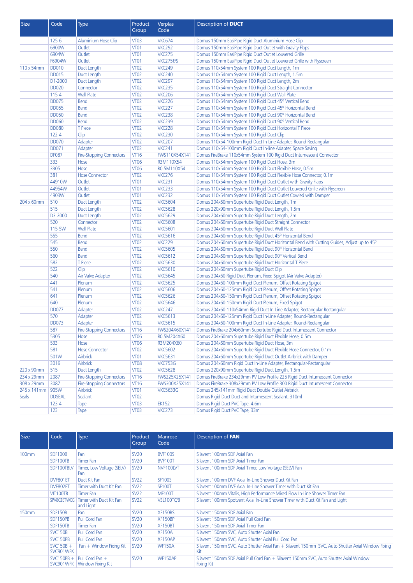| Size         | Code          | <b>Type</b>                     | Product<br>Group | Verplas<br>Code | Description of <b>DUCT</b>                                                                |
|--------------|---------------|---------------------------------|------------------|-----------------|-------------------------------------------------------------------------------------------|
|              | $125 - 6$     | <b>Aluminium Hose Clip</b>      | VT <sub>03</sub> | <b>VKC674</b>   | Domus 150mm EasiPipe Rigid Duct Aluminium Hose Clip                                       |
|              | 6900W         | Outlet                          | <b>VT01</b>      | <b>VKC292</b>   | Domus 150mm EasiPipe Rigid Duct Outlet with Gravity Flaps                                 |
|              | 6904W         | Outlet                          | VT01             | <b>VKC275</b>   | Domus 150mm EasiPipe Rigid Duct Outlet Louvered Grille                                    |
|              | F6904W        | Outlet                          | <b>VT01</b>      | VKC275F/S       | Domus 150mm EasiPipe Rigid Duct Outlet Louvered Grille with Flyscreen                     |
| 110 x 54mm   | <b>DD010</b>  | Duct Length                     | VT <sub>02</sub> | <b>VKC249</b>   | Domus 110x54mm System 100 Rigid Duct Length, 1m                                           |
|              | <b>DD015</b>  | Duct Length                     | <b>VT02</b>      | <b>VKC240</b>   | Domus 110x54mm System 100 Rigid Duct Length, 1.5m                                         |
|              | D1-2000       | Duct Length                     | VT <sub>02</sub> | <b>VKC297</b>   | Domus 110x54mm System 100 Rigid Duct Length, 2m                                           |
|              | <b>DD020</b>  | Connector                       | <b>VT02</b>      | <b>VKC235</b>   | Domus 110x54mm System 100 Rigid Duct Straight Connector                                   |
|              | $115 - 4$     | <b>Wall Plate</b>               | VT <sub>02</sub> | <b>VKC206</b>   | Domus 110x54mm System 100 Rigid Duct Wall Plate                                           |
|              | <b>DD075</b>  | <b>Bend</b>                     | VT <sub>02</sub> | <b>VKC226</b>   | Domus 110x54mm System 100 Rigid Duct 45° Vertical Bend                                    |
|              | <b>DD055</b>  | <b>Bend</b>                     | <b>VT02</b>      | <b>VKC227</b>   | Domus 110x54mm System 100 Rigid Duct 45° Horizontal Bend                                  |
|              | <b>DD050</b>  | <b>Bend</b>                     | <b>VT02</b>      | <b>VKC238</b>   | Domus 110x54mm System 100 Rigid Duct 90° Horizontal Bend                                  |
|              | <b>DD060</b>  | <b>Bend</b>                     | <b>VT02</b>      | <b>VKC239</b>   | Domus 110x54mm System 100 Rigid Duct 90° Vertical Bend                                    |
|              | <b>DD080</b>  | T Piece                         | VT <sub>02</sub> | <b>VKC228</b>   | Domus 110x54mm System 100 Rigid Duct Horizontal T Piece                                   |
|              | $122 - 4$     | Clip                            | VT <sub>02</sub> | <b>VKC230</b>   | Domus 110x54mm System 100 Rigid Duct Clip                                                 |
|              | <b>DD070</b>  | Adapter                         | <b>VT02</b>      | <b>VKC207</b>   | Domus 110x54-100mm Rigid Duct In-Line Adapter, Round-Rectangular                          |
|              | <b>DD071</b>  | Adapter                         | <b>VT02</b>      | <b>VKC241</b>   | Domus 110x54-100mm Rigid Duct In-line Adapter, Space Saving                               |
|              | <b>DF087</b>  | <b>Fire-Stopping Connectors</b> | <b>VT16</b>      | FWS110X54X141   | Domus FireBrake 110x54mm System 100 Rigid Duct Intumescent Connector                      |
|              | 333           | Hose                            | <b>VT06</b>      | R3M110X54       | Domus 110x54mm System 100 Rigid Duct Hose, 3m                                             |
|              | 3305          | Hose                            | VT <sub>06</sub> | R0.5M110X54     | Domus 110x54mm System 100 Rigid Duct Flexible Hose, 0.5m                                  |
|              | 381           | <b>Hose Connector</b>           | <b>VT02</b>      | <b>VKC276</b>   | Domus 110x54mm System 100 Rigid Duct Flexible Hose Connector, 0.1m                        |
|              | 44910W        | Outlet                          | <b>VT01</b>      | <b>VKC231</b>   | Domus 110x54mm System 100 Rigid Duct Outlet with Gravity Flaps                            |
|              | 44954W        | Outlet                          | <b>VT01</b>      | <b>VKC233</b>   | Domus 110x54mm System 100 Rigid Duct Outlet Louvered Grille with Flyscreen                |
|              | 4903W         | Outlet                          | <b>VT01</b>      | <b>VKC232</b>   | Domus 110x54mm System 100 Rigid Duct Outlet Cowled with Damper                            |
| 204 x 60mm   | 510           | Duct Length                     | VT <sub>02</sub> | <b>VKC5604</b>  | Domus 204x60mm Supertube Rigid Duct Length, 1m                                            |
|              | 515           | Duct Length                     | VT <sub>02</sub> | <b>VKC5628</b>  | Domus 220x90mm Supertube Rigid Duct Length, 1.5m                                          |
|              | D3-2000       | Duct Length                     | VT <sub>02</sub> | <b>VKC5629</b>  | Domus 204x60mm Supertube Rigid Duct Length, 2m                                            |
|              | 520           | Connector                       | <b>VT02</b>      | <b>VKC5608</b>  | Domus 204x60mm Supertube Rigid Duct Straight Connector                                    |
|              | 115-5W        | <b>Wall Plate</b>               | <b>VT02</b>      | <b>VKC5601</b>  | Domus 204x60mm Supertube Rigid Duct Wall Plate                                            |
|              | 555           | <b>Bend</b>                     | <b>VT02</b>      | <b>VKC5616</b>  | Domus 204x60mm Supertube Rigid Duct 45° Horizontal Bend                                   |
|              | 545           | <b>Bend</b>                     | VT <sub>02</sub> | <b>VKC229</b>   | Domus 204x60mm Supertube Rigid Duct Horizontal Bend with Cutting Guides, Adjust up to 45° |
|              | 550           | <b>Bend</b>                     | VT <sub>02</sub> | <b>VKC5605</b>  | Domus 204x60mm Supertube Rigid Duct 90° Horizontal Bend                                   |
|              | 560           | <b>Bend</b>                     | <b>VT02</b>      | <b>VKC5612</b>  | Domus 204x60mm Supertube Rigid Duct 90° Vertical Bend                                     |
|              | 582           | T Piece                         | <b>VT02</b>      | <b>VKC5630</b>  | Domus 204x60mm Supertube Rigid Duct Horizontal T Piece                                    |
|              | 522           | Clip                            | VT <sub>02</sub> | <b>VKC5610</b>  | Domus 204x60mm Supertube Rigid Duct Clip                                                  |
|              | 540           | Air Valve Adapter               | <b>VT02</b>      | <b>VKC5645</b>  | Domus 204x60 Rigid Duct Plenum, Fixed Spigot (Air Valve Adapter)                          |
|              | 441           | Plenum                          | VT <sub>02</sub> | <b>VKC5625</b>  | Domus 204x60-100mm Rigid Duct Plenum, Offset Rotating Spigot                              |
|              | 541           | Plenum                          | <b>VT02</b>      | <b>VKC5606</b>  | Domus 204x60-125mm Rigid Duct Plenum, Offset Rotating Spigot                              |
|              | 641           | Plenum                          | VT <sub>02</sub> | <b>VKC5626</b>  | Domus 204x60-150mm Rigid Duct Plenum, Offset Rotating Spigot                              |
|              | 640           | Plenum                          | <b>VT02</b>      | <b>VKC5646</b>  | Domus 204x60-150mm Rigid Duct Plenum, Fixed Spigot                                        |
|              | <b>DD077</b>  | Adapter                         | VT <sub>02</sub> | <b>VKC247</b>   | Domus 204x60-110x54mm Rigid Duct In-Line Adapter, Rectangular-Rectangular                 |
|              | 570           | Adapter                         | VT <sub>02</sub> | <b>VKC5613</b>  | Domus 204x60-125mm Rigid Duct In-Line Adapter, Round-Rectangular                          |
|              | <b>DD073</b>  | Adapter                         | <b>VT02</b>      | <b>VKC5615</b>  | Domus 204x60-100mm Rigid Duct In-Line Adapter, Round-Rectangular                          |
|              | 587           | <b>Fire-Stopping Connectors</b> | VT16             |                 | FWS204X60X141   Domus FireBrake 204x60mm Supertube Rigid Duct Intumescent Connector       |
|              | 5305          | Hose                            | VT <sub>06</sub> | R0.5M204X60     | Domus 204x60mm Supertube Rigid Duct Flexible Hose, 0.5m                                   |
|              | 533           | Hose                            | <b>VT06</b>      | R3M204X60       | Domus 204x60mm Supertube Rigid Duct Hose, 3m                                              |
|              | 581           | <b>Hose Connector</b>           | <b>VT02</b>      | <b>VKC5602</b>  | Domus 204x60mm Supertube Rigid Duct Flexible Hose Connector, 0.1m                         |
|              | 501W          | Airbrick                        | <b>VT01</b>      | <b>VKC5631</b>  | Domus 204x60mm Supertube Rigid Duct Outlet Airbrick with Damper                           |
|              | 3016          | Airbrick                        | VT08             | <b>VKC753G</b>  | Domus 204x60mm Rigid Duct In-Line Adapter, Rectangular-Rectangular                        |
| 220 x 90mm   | 515           | Duct Length                     | <b>VT02</b>      | <b>VKC5628</b>  | Domus 220x90mm Supertube Rigid Duct Length, 1.5m                                          |
| 234 x 29mm   | 2087          | <b>Fire-Stopping Connectors</b> | VT16             | FWS225X25X141   | Domus FireBrake 234x29mm PV Low Profile 225 Rigid Duct Intumescent Connector              |
| 308 x 29mm   | 3087          | <b>Fire-Stopping Connectors</b> | <b>VT16</b>      | FWS300X25X141   | Domus FireBrake 308x29mm PV Low Profile 300 Rigid Duct Intumescent Connector              |
| 245 x 141mm  | 905W          | Airbrick                        | <b>VT01</b>      | <b>VKC5633G</b> | Domus 245x141mm Rigid Duct Double Outlet Airbrick                                         |
| <b>Seals</b> | <b>DDSEAL</b> | Sealant                         | <b>VT02</b>      |                 | Domus Rigid Duct Duct and Intumescent Sealant, 310ml                                      |
|              | $123 - 4$     | Tape                            | <b>VT03</b>      | <b>EK152</b>    | Domus Rigid Duct PVC Tape, 4.6m                                                           |
|              | 123           | Tape                            | VT <sub>03</sub> | <b>VKC273</b>   | Domus Rigid Duct PVC Tape, 33m                                                            |

| <b>Size</b>       | Code                      | <b>Type</b>                                 | Product<br>Group | Manrose<br>Code | Description of FAN                                                                                          |
|-------------------|---------------------------|---------------------------------------------|------------------|-----------------|-------------------------------------------------------------------------------------------------------------|
| 100mm             | SDF100B                   | Fan                                         | <b>SV20</b>      | <b>BVF100S</b>  | Silavent 100mm SDF Axial Fan                                                                                |
|                   | SDF100TB                  | Timer Fan                                   | <b>SV20</b>      | BVF100T         | Silavent 100mm SDF Axial Timer Fan                                                                          |
|                   | SDF100TBLV                | Timer, Low Voltage (SELV)<br>Fan            | <b>SV20</b>      | NVF100LVT       | Silavent 100mm SDF Axial Timer, Low Voltage (SELV) Fan                                                      |
|                   | DVF801ET                  | Duct Kit Fan                                | <b>SV22</b>      | <b>SF100S</b>   | Silavent 100mm DVF Axial In-Line Shower Duct Kit Fan                                                        |
|                   | DVF802ET                  | Timer with Duct Kit Fan                     | <b>SV22</b>      | <b>SF100T</b>   | Silavent 100mm DVF Axial In-Line Shower Timer with Duct Kit Fan                                             |
|                   | VIT100TB                  | Timer Fan                                   | <b>SV22</b>      | <b>MF100T</b>   | Silavent 100mm Vitalis, High Performance Mixed Flow In-Line Shower Timer Fan                                |
|                   | SPV802ETWCG               | Timer with Duct Kit Fan<br>and Light        | <b>SV22</b>      | VSL100TC/B      | Silavent 100mm Spotvent Axial In-Line Shower Timer with Duct Kit Fan and Light                              |
| 150 <sub>mm</sub> | SDF150B                   | Fan                                         | <b>SV20</b>      | XF150BS         | Silavent 150mm SDF Axial Fan                                                                                |
|                   | SDF150PB                  | Pull Cord Fan                               | <b>SV20</b>      | XF150BP         | Silavent 150mm SDF Axial Pull Cord Fan                                                                      |
|                   | SDF150TB                  | <b>Timer Fan</b>                            | <b>SV20</b>      | XF150BT         | Silavent 150mm SDF Axial Timer Fan                                                                          |
|                   | <b>SVC150B</b>            | Pull Cord Fan                               | <b>SV20</b>      | <b>XF150A</b>   | Silavent 150mm SVC, Auto Shutter Axial Fan                                                                  |
|                   | SVC150PB                  | Pull Cord Fan                               | <b>SV20</b>      | XF150AP         | Silavent 150mm SVC, Auto Shutter Axial Pull Cord Fan                                                        |
|                   | $SVC150B +$<br>SVC901WFK  | Fan + Window Fixing Kit                     | <b>SV20</b>      | <b>WF150A</b>   | Silavent 150mm SVC, Auto Shutter Axial Fan + Silavent 150mm SVC, Auto Shutter Axial Window Fixing<br>Kit    |
|                   | $SVC150PB +$<br>SVC901WFK | Pull Cord Fan +<br><b>Window Fixing Kit</b> | <b>SV20</b>      | <b>WF150AP</b>  | Silavent 150mm SDF Axial Pull Cord Fan + Silavent 150mm SVC, Auto Shutter Axial Window<br><b>Fixing Kit</b> |